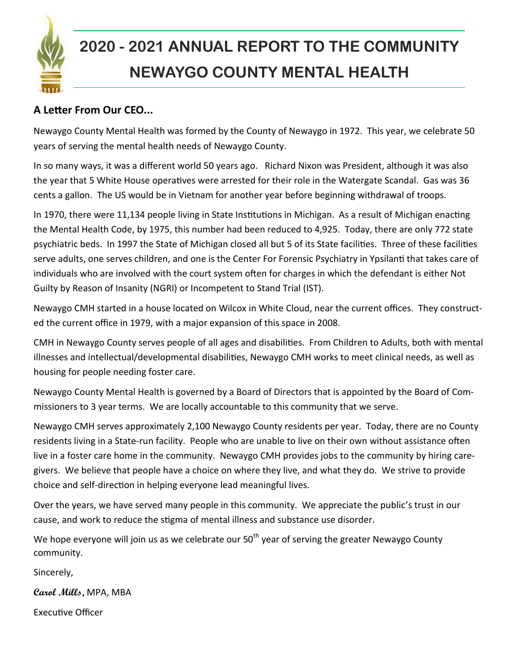

# **2020 - 2021 ANNUAL REPORT TO THE COMMUNITY NEWAYGO COUNTY MENTAL HEALTH**

### **A Letter From Our CEO...**

Newaygo County Mental Health was formed by the County of Newaygo in 1972. This year, we celebrate 50 years of serving the mental health needs of Newaygo County.

In so many ways, it was a different world 50 years ago. Richard Nixon was President, although it was also the year that 5 White House operatives were arrested for their role in the Watergate Scandal. Gas was 36 cents a gallon. The US would be in Vietnam for another year before beginning withdrawal of troops.

In 1970, there were 11,134 people living in State Institutions in Michigan. As a result of Michigan enacting the Mental Health Code, by 1975, this number had been reduced to 4,925. Today, there are only 772 state psychiatric beds. In 1997 the State of Michigan closed all but 5 of its State facilities. Three of these facilities serve adults, one serves children, and one is the Center For Forensic Psychiatry in Ypsilanti that takes care of individuals who are involved with the court system often for charges in which the defendant is either Not Guilty by Reason of Insanity (NGRI) or Incompetent to Stand Trial (IST).

Newaygo CMH started in a house located on Wilcox in White Cloud, near the current offices. They constructed the current office in 1979, with a major expansion of this space in 2008.

CMH in Newaygo County serves people of all ages and disabilities. From Children to Adults, both with mental illnesses and intellectual/developmental disabilities, Newaygo CMH works to meet clinical needs, as well as housing for people needing foster care.

Newaygo County Mental Health is governed by a Board of Directors that is appointed by the Board of Commissioners to 3 year terms. We are locally accountable to this community that we serve.

Newaygo CMH serves approximately 2,100 Newaygo County residents per year. Today, there are no County residents living in a State-run facility. People who are unable to live on their own without assistance often live in a foster care home in the community. Newaygo CMH provides jobs to the community by hiring caregivers. We believe that people have a choice on where they live, and what they do. We strive to provide choice and self-direction in helping everyone lead meaningful lives.

Over the years, we have served many people in this community. We appreciate the public's trust in our cause, and work to reduce the stigma of mental illness and substance use disorder.

We hope everyone will join us as we celebrate our  $50<sup>th</sup>$  year of serving the greater Newaygo County community.

Sincerely,

**Carol Mills,** MPA, MBA

Executive Officer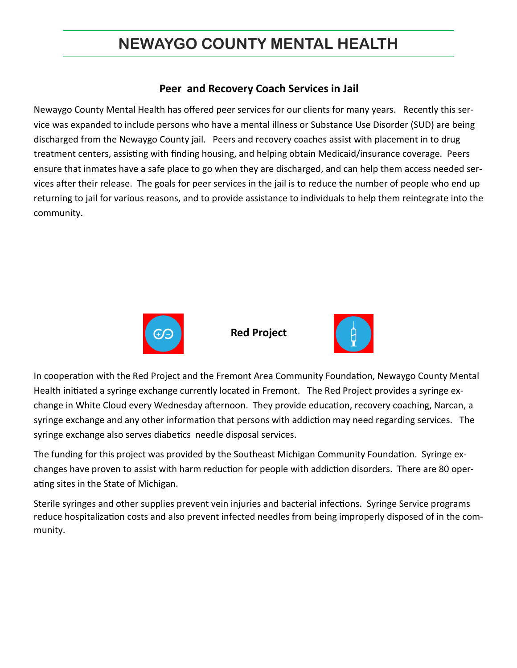#### **Peer and Recovery Coach Services in Jail**

Newaygo County Mental Health has offered peer services for our clients for many years. Recently this service was expanded to include persons who have a mental illness or Substance Use Disorder (SUD) are being discharged from the Newaygo County jail. Peers and recovery coaches assist with placement in to drug treatment centers, assisting with finding housing, and helping obtain Medicaid/insurance coverage. Peers ensure that inmates have a safe place to go when they are discharged, and can help them access needed services after their release. The goals for peer services in the jail is to reduce the number of people who end up returning to jail for various reasons, and to provide assistance to individuals to help them reintegrate into the community.



**Red Project**



In cooperation with the Red Project and the Fremont Area Community Foundation, Newaygo County Mental Health initiated a syringe exchange currently located in Fremont. The Red Project provides a syringe exchange in White Cloud every Wednesday afternoon. They provide education, recovery coaching, Narcan, a syringe exchange and any other information that persons with addiction may need regarding services. The syringe exchange also serves diabetics needle disposal services.

The funding for this project was provided by the Southeast Michigan Community Foundation. Syringe exchanges have proven to assist with harm reduction for people with addiction disorders. There are 80 operating sites in the State of Michigan.

Sterile syringes and other supplies prevent vein injuries and bacterial infections. Syringe Service programs reduce hospitalization costs and also prevent infected needles from being improperly disposed of in the community.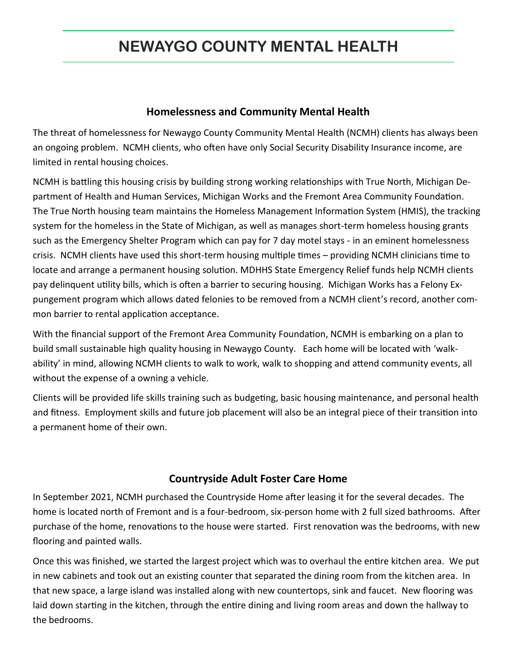#### **Homelessness and Community Mental Health**

The threat of homelessness for Newaygo County Community Mental Health (NCMH) clients has always been an ongoing problem. NCMH clients, who often have only Social Security Disability Insurance income, are limited in rental housing choices.

NCMH is battling this housing crisis by building strong working relationships with True North, Michigan Department of Health and Human Services, Michigan Works and the Fremont Area Community Foundation. The True North housing team maintains the Homeless Management Information System (HMIS), the tracking system for the homeless in the State of Michigan, as well as manages short-term homeless housing grants such as the Emergency Shelter Program which can pay for 7 day motel stays - in an eminent homelessness crisis. NCMH clients have used this short-term housing multiple times – providing NCMH clinicians time to locate and arrange a permanent housing solution. MDHHS State Emergency Relief funds help NCMH clients pay delinquent utility bills, which is often a barrier to securing housing. Michigan Works has a Felony Expungement program which allows dated felonies to be removed from a NCMH client's record, another common barrier to rental application acceptance.

With the financial support of the Fremont Area Community Foundation, NCMH is embarking on a plan to build small sustainable high quality housing in Newaygo County. Each home will be located with 'walkability' in mind, allowing NCMH clients to walk to work, walk to shopping and attend community events, all without the expense of a owning a vehicle.

Clients will be provided life skills training such as budgeting, basic housing maintenance, and personal health and fitness. Employment skills and future job placement will also be an integral piece of their transition into a permanent home of their own.

#### **Countryside Adult Foster Care Home**

In September 2021, NCMH purchased the Countryside Home after leasing it for the several decades. The home is located north of Fremont and is a four-bedroom, six-person home with 2 full sized bathrooms. After purchase of the home, renovations to the house were started. First renovation was the bedrooms, with new flooring and painted walls.

Once this was finished, we started the largest project which was to overhaul the entire kitchen area. We put in new cabinets and took out an existing counter that separated the dining room from the kitchen area. In that new space, a large island was installed along with new countertops, sink and faucet. New flooring was laid down starting in the kitchen, through the entire dining and living room areas and down the hallway to the bedrooms.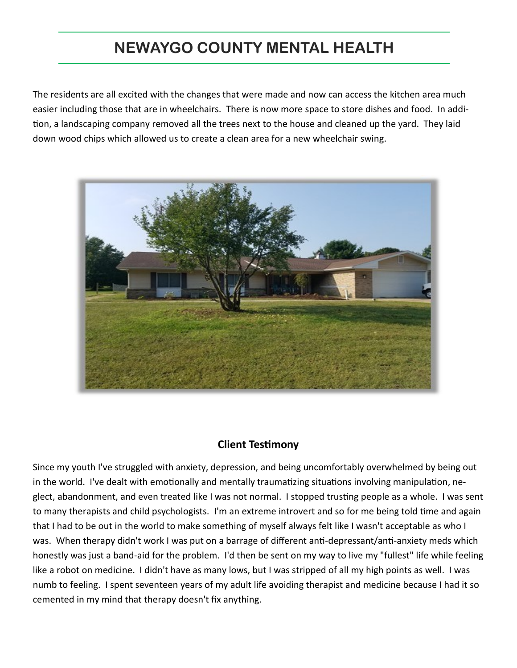The residents are all excited with the changes that were made and now can access the kitchen area much easier including those that are in wheelchairs. There is now more space to store dishes and food. In addition, a landscaping company removed all the trees next to the house and cleaned up the yard. They laid down wood chips which allowed us to create a clean area for a new wheelchair swing.



### **Client Testimony**

Since my youth I've struggled with anxiety, depression, and being uncomfortably overwhelmed by being out in the world. I've dealt with emotionally and mentally traumatizing situations involving manipulation, neglect, abandonment, and even treated like I was not normal. I stopped trusting people as a whole. I was sent to many therapists and child psychologists. I'm an extreme introvert and so for me being told time and again that I had to be out in the world to make something of myself always felt like I wasn't acceptable as who I was. When therapy didn't work I was put on a barrage of different anti-depressant/anti-anxiety meds which honestly was just a band-aid for the problem. I'd then be sent on my way to live my "fullest" life while feeling like a robot on medicine. I didn't have as many lows, but I was stripped of all my high points as well. I was numb to feeling. I spent seventeen years of my adult life avoiding therapist and medicine because I had it so cemented in my mind that therapy doesn't fix anything.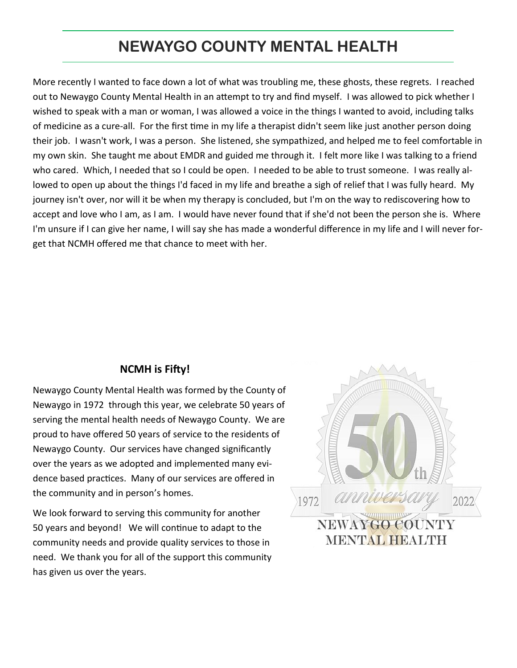More recently I wanted to face down a lot of what was troubling me, these ghosts, these regrets. I reached out to Newaygo County Mental Health in an attempt to try and find myself. I was allowed to pick whether I wished to speak with a man or woman, I was allowed a voice in the things I wanted to avoid, including talks of medicine as a cure-all. For the first time in my life a therapist didn't seem like just another person doing their job. I wasn't work, I was a person. She listened, she sympathized, and helped me to feel comfortable in my own skin. She taught me about EMDR and guided me through it. I felt more like I was talking to a friend who cared. Which, I needed that so I could be open. I needed to be able to trust someone. I was really allowed to open up about the things I'd faced in my life and breathe a sigh of relief that I was fully heard. My journey isn't over, nor will it be when my therapy is concluded, but I'm on the way to rediscovering how to accept and love who I am, as I am. I would have never found that if she'd not been the person she is. Where I'm unsure if I can give her name, I will say she has made a wonderful difference in my life and I will never forget that NCMH offered me that chance to meet with her.

#### **NCMH is Fifty!**

Newaygo County Mental Health was formed by the County of Newaygo in 1972 through this year, we celebrate 50 years of serving the mental health needs of Newaygo County. We are proud to have offered 50 years of service to the residents of Newaygo County. Our services have changed significantly over the years as we adopted and implemented many evidence based practices. Many of our services are offered in the community and in person's homes.

We look forward to serving this community for another 50 years and beyond! We will continue to adapt to the community needs and provide quality services to those in need. We thank you for all of the support this community has given us over the years.